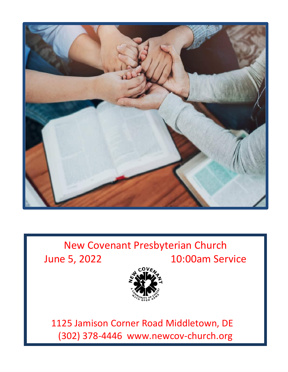

# New Covenant Presbyterian Church June 5, 2022 10:00am Service



 1125 Jamison Corner Road Middletown, DE (302) 378-4446 www.newcov-church.org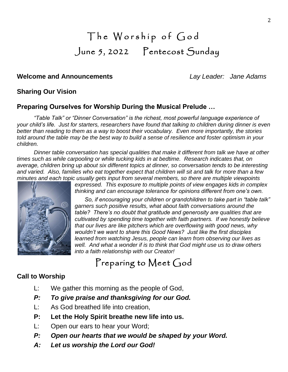# The Worship of God June 5, 2022 Pentecost Sunday

## **Welcome and Announcements** *Lay Leader: Jane Adams*

## **Sharing Our Vision**

## **Preparing Ourselves for Worship During the Musical Prelude …**

*"Table Talk" or "Dinner Conversation" is the richest, most powerful language experience of your child's life. Just for starters, researchers have found that talking to children during dinner is even better than reading to them as a way to boost their vocabulary. Even more importantly, the stories told around the table may be the best way to build a sense of resilience and foster optimism in your children.*

*Dinner table conversation has special qualities that make it different from talk we have at other times such as while carpooling or while tucking kids in at bedtime. Research indicates that, on average, children bring up about six different topics at dinner, so conversation tends to be interesting and varied. Also, families who eat together expect that children will sit and talk for more than a few minutes and each topic usually gets input from several members, so there are multiple viewpoints* 



*expressed. This exposure to multiple points of view engages kids in complex thinking and can encourage tolerance for opinions different from one's own.*

*So, if encouraging your children or grandchildren to take part in "table talk" garners such positive results, what about faith conversations around the table? There's no doubt that gratitude and generosity are qualities that are cultivated by spending time together with faith partners. If we honestly believe that our lives are like pitchers which are overflowing with good news, why wouldn't we want to share this Good News? Just like the first disciples learned from watching Jesus, people can learn from observing our lives as well. And what a wonder if is to think that God might use us to draw others into a faith relationship with our Creator!*

Preparing to Meet God

## **Call to Worship**

- L: We gather this morning as the people of God,
- *P: To give praise and thanksgiving for our God.*
- L: As God breathed life into creation,
- **P: Let the Holy Spirit breathe new life into us.**
- L: Open our ears to hear your Word;
- *P: Open our hearts that we would be shaped by your Word.*
- *A: Let us worship the Lord our God!*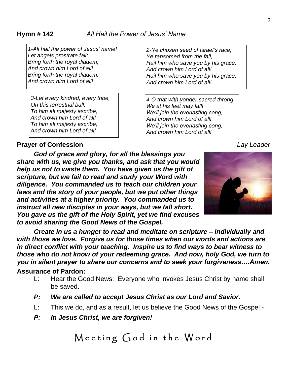*1-All hail the power of Jesus' name! Let angels prostrate fall; Bring forth the royal diadem, And crown him Lord of all! Bring forth the royal diadem, And crown him Lord of all!*

*3-Let every kindred, every tribe, On this terrestrial ball, To him all majesty ascribe, And crown him Lord of all! To him all majesty ascribe, And crown him Lord of all!*

*2-Ye chosen seed of Israel's race, Ye ransomed from the fall, Hail him who save you by his grace, And crown him Lord of all! Hail him who save you by his grace, And crown him Lord of all!*

*4-O that with yonder sacred throng We at his feet may fall! We'll join the everlasting song, And crown him Lord of all! We'll join the everlasting song, And crown him Lord of all!*

## **Prayer of Confession** *Lay Leader*

*God of grace and glory, for all the blessings you share with us, we give you thanks, and ask that you would help us not to waste them. You have given us the gift of scripture, but we fail to read and study your Word with diligence. You commanded us to teach our children your laws and the story of your people, but we put other things and activities at a higher priority. You commanded us to instruct all new disciples in your ways, but we fall short. You gave us the gift of the Holy Spirit, yet we find excuses to avoid sharing the Good News of the Gospel.*



*Create in us a hunger to read and meditate on scripture – individually and with those we love. Forgive us for those times when our words and actions are in direct conflict with your teaching. Inspire us to find ways to bear witness to those who do not know of your redeeming grace. And now, holy God, we turn to you in silent prayer to share our concerns and to seek your forgiveness….Amen.* **Assurance of Pardon:**

- L: Hear the Good News: Everyone who invokes Jesus Christ by name shall be saved.
- *P: We are called to accept Jesus Christ as our Lord and Savior.*
- L: This we do, and as a result, let us believe the Good News of the Gospel -
- *P: In Jesus Christ, we are forgiven!*

Meeting God in the Word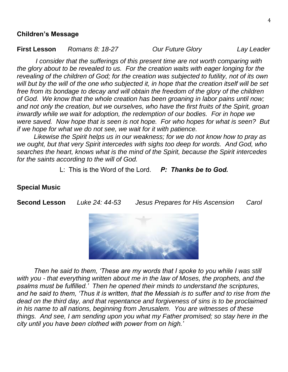### **Children's Message**

**First Lesson** *Romans 8: 18-27 Our Future Glory Lay Leader*

*I* consider that the sufferings of this present time are not worth comparing with *the glory about to be revealed to us. For the creation waits with eager longing for the revealing of the children of God; for the creation was subjected to futility, not of its own will but by the will of the one who subjected it, in hope that the creation itself will be set free from its bondage to decay and will obtain the freedom of the glory of the children of God. We know that the whole creation has been groaning in labor pains until now; and not only the creation, but we ourselves, who have the first fruits of the Spirit, groan inwardly while we wait for adoption, the redemption of our bodies. For in hope we were saved. Now hope that is seen is not hope. For who hopes for what is seen? But if we hope for what we do not see, we wait for it with patience.*

*Likewise the Spirit helps us in our weakness; for we do not know how to pray as we ought, but that very Spirit intercedes with sighs too deep for words. And God, who searches the heart, knows what is the mind of the Spirit, because the Spirit intercedes for the saints according to the will of God.*

L: This is the Word of the Lord. *P: Thanks be to God.*

## **Special Music**

**Second Lesson** *Luke 24: 44-53 Jesus Prepares for His Ascension Carol*



*Then he said to them, 'These are my words that I spoke to you while I was still with you - that everything written about me in the law of Moses, the prophets, and the psalms must be fulfilled.' Then he opened their minds to understand the scriptures, and he said to them, 'Thus it is written, that the Messiah is to suffer and to rise from the dead on the third day, and that repentance and forgiveness of sins is to be proclaimed in his name to all nations, beginning from Jerusalem. You are witnesses of these things. And see, I am sending upon you what my Father promised; so stay here in the city until you have been clothed with power from on high.'*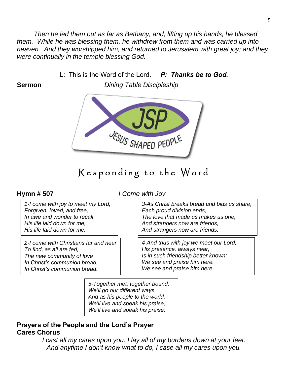*Then he led them out as far as Bethany, and, lifting up his hands, he blessed them. While he was blessing them, he withdrew from them and was carried up into heaven. And they worshipped him, and returned to Jerusalem with great joy; and they were continually in the temple blessing God.*

L: This is the Word of the Lord. *P: Thanks be to God.*

**Sermon** *Dining Table Discipleship*



## Responding to the Word

**Hymn # 507** *I Come with Joy*

*1-I come with joy to meet my Lord, Forgiven, loved, and free, In awe and wonder to recall His life laid down for me, His life laid down for me.*

*2-I come with Christians far and near To find, as all are fed, The new community of love In Christ's communion bread, In Christ's communion bread.*

*3-As Christ breaks bread and bids us share, Each proud division ends, The love that made us makes us one, And strangers now are friends, And strangers now are friends.*

*4-And thus with joy we meet our Lord, His presence, always near, Is in such friendship better known: We see and praise him here. We see and praise him here.*

*5-Together met, together bound, We'll go our different ways, And as his people to the world, We'll live and speak his praise, We'll live and speak his praise.*

## **Prayers of the People and the Lord's Prayer Cares Chorus**

*I cast all my cares upon you. I lay all of my burdens down at your feet. And anytime I don't know what to do, I case all my cares upon you.*